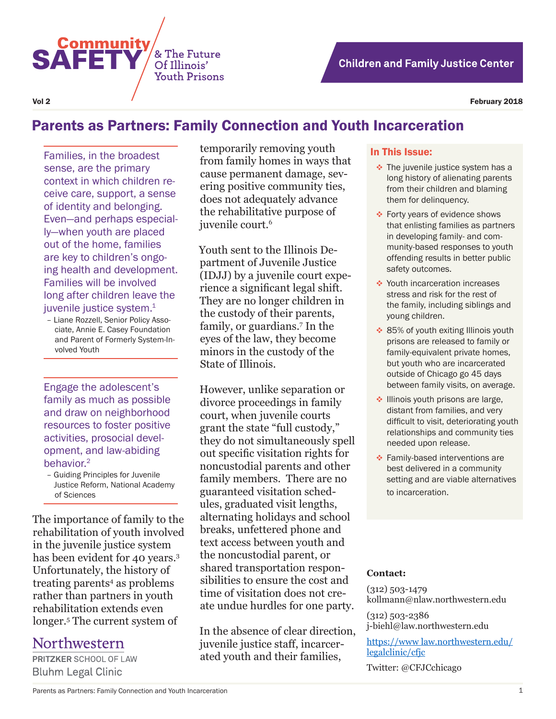

Vol 2 February 2018

# Parents as Partners: Family Connection and Youth Incarceration

& The Future

Of Illinois' **Youth Prisons** 

Families, in the broadest sense, are the primary context in which children receive care, support, a sense of identity and belonging. Even—and perhaps especially—when youth are placed out of the home, families are key to children's ongoing health and development. Families will be involved long after children leave the juvenile justice system.<sup>1</sup>

**Community** 

**SAFET** 

– Liane Rozzell, Senior Policy Associate, Annie E. Casey Foundation and Parent of Formerly System-Involved Youth

Engage the adolescent's family as much as possible and draw on neighborhood resources to foster positive activities, prosocial development, and law-abiding behavior.<sup>2</sup>

– Guiding Principles for Juvenile Justice Reform, National Academy of Sciences

The importance of family to the rehabilitation of youth involved in the juvenile justice system has been evident for 40 years.<sup>3</sup> Unfortunately, the history of treating parents<sup>4</sup> as problems rather than partners in youth rehabilitation extends even longer.5 The current system of

## Northwestern

**PRITZKER SCHOOL OF LAW Bluhm Legal Clinic** 

temporarily removing youth from family homes in ways that cause permanent damage, severing positive community ties, does not adequately advance the rehabilitative purpose of juvenile court.<sup>6</sup>

Youth sent to the Illinois Department of Juvenile Justice (IDJJ) by a juvenile court experience a significant legal shift. They are no longer children in the custody of their parents, family, or guardians.7 In the eyes of the law, they become minors in the custody of the State of Illinois.

However, unlike separation or divorce proceedings in family court, when juvenile courts grant the state "full custody," they do not simultaneously spell out specific visitation rights for noncustodial parents and other family members. There are no guaranteed visitation schedules, graduated visit lengths, alternating holidays and school breaks, unfettered phone and text access between youth and the noncustodial parent, or shared transportation responsibilities to ensure the cost and time of visitation does not create undue hurdles for one party.

In the absence of clear direction, juvenile justice staff, incarcerated youth and their families,

#### In This Issue:

- $\cdot$  The juvenile justice system has a long history of alienating parents from their children and blaming them for delinquency.
- Forty years of evidence shows that enlisting families as partners in developing family- and community-based responses to youth offending results in better public safety outcomes.
- ◆ Youth incarceration increases stress and risk for the rest of the family, including siblings and young children.
- ❖ 85% of youth exiting Illinois youth prisons are released to family or family-equivalent private homes, but youth who are incarcerated outside of Chicago go 45 days between family visits, on average.
- ◆ Illinois youth prisons are large, distant from families, and very difficult to visit, deteriorating youth relationships and community ties needed upon release.
- **Exercise** Family-based interventions are best delivered in a community setting and are viable alternatives to incarceration.

#### **Contact:**

(312) 503-1479 kollmann@nlaw.northwestern.edu

(312) 503-2386 j-biehl@law.northwestern.edu

https://www law.northwestern.edu/ legalclinic/cfjc

Twitter: @CFJCchicago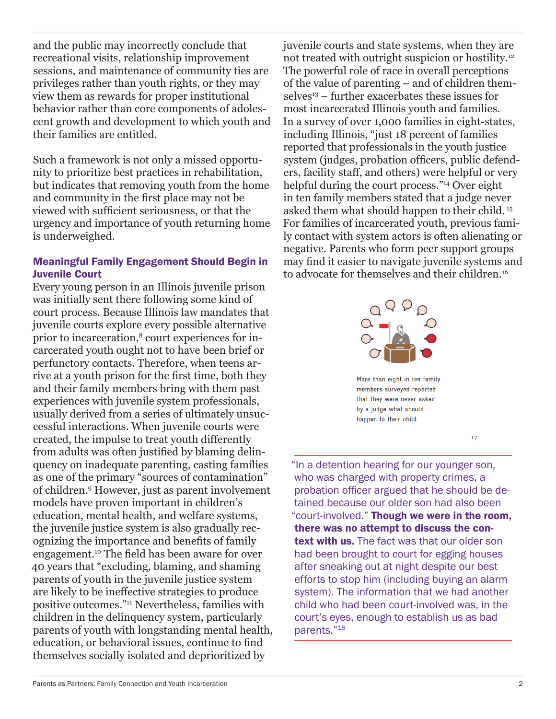and the public may incorrectly conclude that recreational visits, relationship improvement sessions, and maintenance of community ties are privileges rather than youth rights, or they may view them as rewards for proper institutional behavior rather than core components of adolescent growth and development to which youth and their families are entitled.

Such a framework is not only a missed opportunity to prioritize best practices in rehabilitation, but indicates that removing youth from the home and community in the first place may not be viewed with sufficient seriousness, or that the urgency and importance of youth returning home is underweighed.

### Meaningful Family Engagement Should Begin in Juvenile Court

Every young person in an Illinois juvenile prison was initially sent there following some kind of court process. Because Illinois law mandates that juvenile courts explore every possible alternative prior to incarceration,<sup>8</sup> court experiences for incarcerated youth ought not to have been brief or perfunctory contacts. Therefore, when teens arrive at a youth prison for the first time, both they and their family members bring with them past experiences with juvenile system professionals, usually derived from a series of ultimately unsuccessful interactions. When juvenile courts were created, the impulse to treat youth differently from adults was often justified by blaming delinquency on inadequate parenting, casting families as one of the primary "sources of contamination" of children.9 However, just as parent involvement models have proven important in children's education, mental health, and welfare systems, the juvenile justice system is also gradually recognizing the importance and benefits of family engagement.10 The field has been aware for over 40 years that "excluding, blaming, and shaming parents of youth in the juvenile justice system are likely to be ineffective strategies to produce positive outcomes."11 Nevertheless, families with children in the delinquency system, particularly parents of youth with longstanding mental health, education, or behavioral issues, continue to find themselves socially isolated and deprioritized by

juvenile courts and state systems, when they are not treated with outright suspicion or hostility.12 The powerful role of race in overall perceptions of the value of parenting – and of children them $s$ elves<sup>13</sup> – further exacerbates these issues for most incarcerated Illinois youth and families. In a survey of over 1,000 families in eight-states, including Illinois, "just 18 percent of families reported that professionals in the youth justice system (judges, probation officers, public defenders, facility staff, and others) were helpful or very helpful during the court process."14 Over eight in ten family members stated that a judge never asked them what should happen to their child. <sup>15</sup> For families of incarcerated youth, previous family contact with system actors is often alienating or negative. Parents who form peer support groups may find it easier to navigate juvenile systems and to advocate for themselves and their children.16



members surveyed reported that they were never asked by a judge what should happen to their child.

17

"In a detention hearing for our younger son, who was charged with property crimes, a probation officer argued that he should be detained because our older son had also been "court-involved." Though we were in the room, there was no attempt to discuss the context with us. The fact was that our older son had been brought to court for egging houses after sneaking out at night despite our best efforts to stop him (including buying an alarm system). The information that we had another child who had been court-involved was, in the court's eyes, enough to establish us as bad parents."18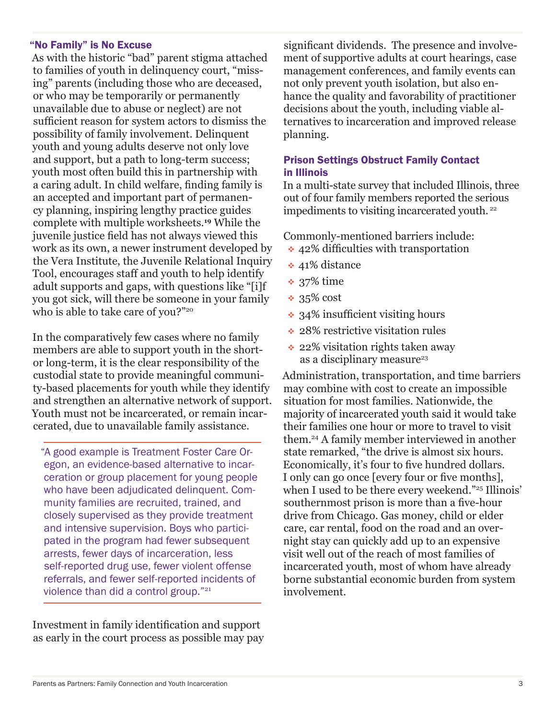### "No Family" is No Excuse

As with the historic "bad" parent stigma attached to families of youth in delinquency court, "missing" parents (including those who are deceased, or who may be temporarily or permanently unavailable due to abuse or neglect) are not sufficient reason for system actors to dismiss the possibility of family involvement. Delinquent youth and young adults deserve not only love and support, but a path to long-term success; youth most often build this in partnership with a caring adult. In child welfare, finding family is an accepted and important part of permanency planning, inspiring lengthy practice guides complete with multiple worksheets.**<sup>19</sup>** While the juvenile justice field has not always viewed this work as its own, a newer instrument developed by the Vera Institute, the Juvenile Relational Inquiry Tool, encourages staff and youth to help identify adult supports and gaps, with questions like "[i]f you got sick, will there be someone in your family who is able to take care of you?"20

In the comparatively few cases where no family members are able to support youth in the shortor long-term, it is the clear responsibility of the custodial state to provide meaningful community-based placements for youth while they identify and strengthen an alternative network of support. Youth must not be incarcerated, or remain incarcerated, due to unavailable family assistance.

"A good example is Treatment Foster Care Oregon, an evidence-based alternative to incarceration or group placement for young people who have been adjudicated delinquent. Community families are recruited, trained, and closely supervised as they provide treatment and intensive supervision. Boys who participated in the program had fewer subsequent arrests, fewer days of incarceration, less self-reported drug use, fewer violent offense referrals, and fewer self-reported incidents of violence than did a control group."<sup>21</sup>

Investment in family identification and support as early in the court process as possible may pay

significant dividends. The presence and involvement of supportive adults at court hearings, case management conferences, and family events can not only prevent youth isolation, but also enhance the quality and favorability of practitioner decisions about the youth, including viable alternatives to incarceration and improved release planning.

### Prison Settings Obstruct Family Contact in Illinois

In a multi-state survey that included Illinois, three out of four family members reported the serious impediments to visiting incarcerated youth.<sup>22</sup>

Commonly-mentioned barriers include:

- **↑ 42% difficulties with transportation**
- ◆ 41% distance
- **◆ 37% time**
- $* 35\%$  cost
- 34% insufficient visiting hours
- ◆ 28% restrictive visitation rules
- ◆ 22% visitation rights taken away as a disciplinary measure<sup>23</sup>

Administration, transportation, and time barriers may combine with cost to create an impossible situation for most families. Nationwide, the majority of incarcerated youth said it would take their families one hour or more to travel to visit them.24 A family member interviewed in another state remarked, "the drive is almost six hours. Economically, it's four to five hundred dollars. I only can go once [every four or five months], when I used to be there every weekend."<sup>25</sup> Illinois' southernmost prison is more than a five-hour drive from Chicago. Gas money, child or elder care, car rental, food on the road and an overnight stay can quickly add up to an expensive visit well out of the reach of most families of incarcerated youth, most of whom have already borne substantial economic burden from system involvement.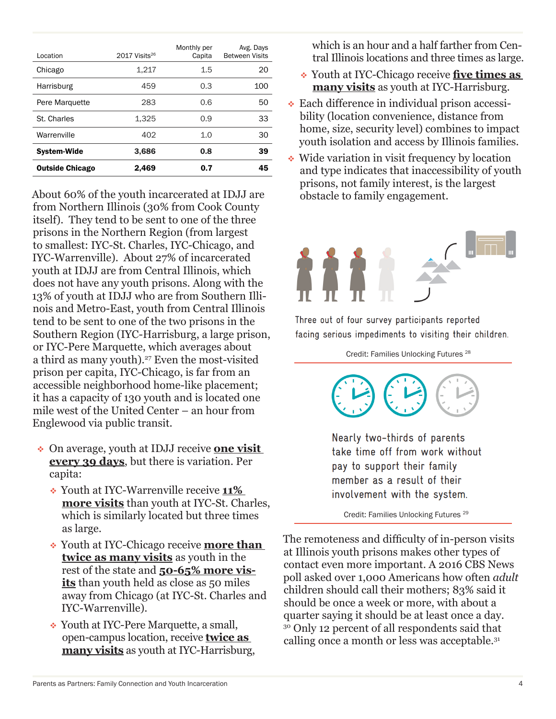| Location               | 2017 Visits <sup>26</sup> | Monthly per<br>Capita | Avg. Days<br><b>Between Visits</b> |  |
|------------------------|---------------------------|-----------------------|------------------------------------|--|
| Chicago                | 1,217                     | $1.5\,$               | 20                                 |  |
| Harrisburg             | 459                       | 0.3                   | 100                                |  |
| Pere Marquette         | 283                       | 0.6                   | 50                                 |  |
| St. Charles            | 1,325                     | 0.9                   | 33                                 |  |
| Warrenville            | 402                       | 1.0                   | 30                                 |  |
| <b>System-Wide</b>     | 3,686                     | 0.8                   | 39                                 |  |
| <b>Outside Chicago</b> | 2,469                     | 0.7                   | 45                                 |  |

About 60% of the youth incarcerated at IDJJ are from Northern Illinois (30% from Cook County itself). They tend to be sent to one of the three prisons in the Northern Region (from largest to smallest: IYC-St. Charles, IYC-Chicago, and IYC-Warrenville). About 27% of incarcerated youth at IDJJ are from Central Illinois, which does not have any youth prisons. Along with the 13% of youth at IDJJ who are from Southern Illinois and Metro-East, youth from Central Illinois tend to be sent to one of the two prisons in the Southern Region (IYC-Harrisburg, a large prison, or IYC-Pere Marquette, which averages about a third as many youth).<sup>27</sup> Even the most-visited prison per capita, IYC-Chicago, is far from an accessible neighborhood home-like placement; it has a capacity of 130 youth and is located one mile west of the United Center – an hour from Englewood via public transit.

- On average, youth at IDJJ receive **one visit every 39 days**, but there is variation. Per capita:
	- Youth at IYC-Warrenville receive **11% more visits** than youth at IYC-St. Charles, which is similarly located but three times as large.
	- Youth at IYC-Chicago receive **more than twice as many visits** as youth in the rest of the state and **50-65% more visits** than youth held as close as 50 miles away from Chicago (at IYC-St. Charles and IYC-Warrenville).
	- Youth at IYC-Pere Marquette, a small, open-campus location, receive **twice as many visits** as youth at IYC-Harrisburg,

which is an hour and a half farther from Central Illinois locations and three times as large.

- Youth at IYC-Chicago receive **five times as many visits** as youth at IYC-Harrisburg.
- Each difference in individual prison accessibility (location convenience, distance from home, size, security level) combines to impact youth isolation and access by Illinois families.
- Wide variation in visit frequency by location and type indicates that inaccessibility of youth prisons, not family interest, is the largest obstacle to family engagement.



Three out of four survey participants reported facing serious impediments to visiting their children.

Credit: Families Unlocking Futures 28



Nearly two-thirds of parents take time off from work without pay to support their family member as a result of their involvement with the system.

Credit: Families Unlocking Futures 29

The remoteness and difficulty of in-person visits at Illinois youth prisons makes other types of contact even more important. A 2016 CBS News poll asked over 1,000 Americans how often *adult* children should call their mothers; 83% said it should be once a week or more, with about a quarter saying it should be at least once a day. 30 Only 12 percent of all respondents said that calling once a month or less was acceptable.31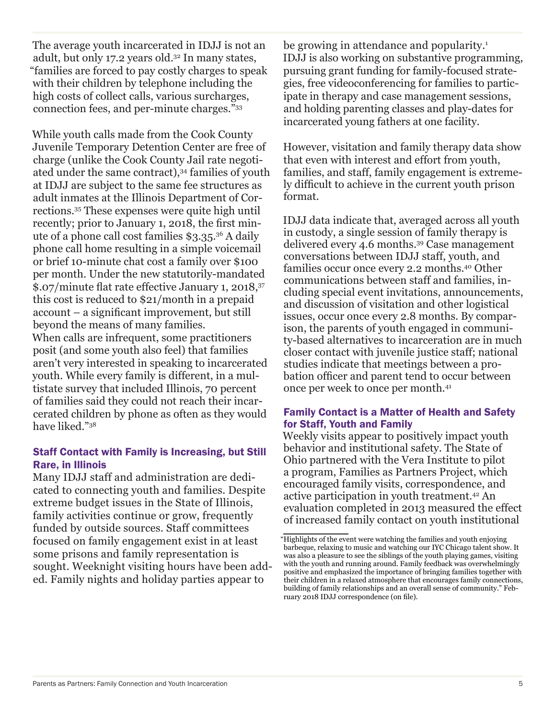The average youth incarcerated in IDJJ is not an adult, but only 17.2 years old.32 In many states, "families are forced to pay costly charges to speak with their children by telephone including the high costs of collect calls, various surcharges, connection fees, and per-minute charges."33

While youth calls made from the Cook County Juvenile Temporary Detention Center are free of charge (unlike the Cook County Jail rate negotiated under the same contract),<sup>34</sup> families of youth at IDJJ are subject to the same fee structures as adult inmates at the Illinois Department of Corrections.35 These expenses were quite high until recently; prior to January 1, 2018, the first minute of a phone call cost families \$3.35.36 A daily phone call home resulting in a simple voicemail or brief 10-minute chat cost a family over \$100 per month. Under the new statutorily-mandated \$.07/minute flat rate effective January 1, 2018,<sup>37</sup> this cost is reduced to \$21/month in a prepaid account – a significant improvement, but still beyond the means of many families. When calls are infrequent, some practitioners posit (and some youth also feel) that families aren't very interested in speaking to incarcerated youth. While every family is different, in a multistate survey that included Illinois, 70 percent of families said they could not reach their incarcerated children by phone as often as they would have liked."38

### Staff Contact with Family is Increasing, but Still Rare, in Illinois

Many IDJJ staff and administration are dedicated to connecting youth and families. Despite extreme budget issues in the State of Illinois, family activities continue or grow, frequently funded by outside sources. Staff committees focused on family engagement exist in at least some prisons and family representation is sought. Weeknight visiting hours have been added. Family nights and holiday parties appear to

be growing in attendance and popularity.<sup>1</sup> IDJJ is also working on substantive programming, pursuing grant funding for family-focused strategies, free videoconferencing for families to participate in therapy and case management sessions, and holding parenting classes and play-dates for incarcerated young fathers at one facility.

However, visitation and family therapy data show that even with interest and effort from youth, families, and staff, family engagement is extremely difficult to achieve in the current youth prison format.

IDJJ data indicate that, averaged across all youth in custody, a single session of family therapy is delivered every 4.6 months.39 Case management conversations between IDJJ staff, youth, and families occur once every 2.2 months.40 Other communications between staff and families, including special event invitations, announcements, and discussion of visitation and other logistical issues, occur once every 2.8 months. By comparison, the parents of youth engaged in community-based alternatives to incarceration are in much closer contact with juvenile justice staff; national studies indicate that meetings between a probation officer and parent tend to occur between once per week to once per month.41

### Family Contact is a Matter of Health and Safety for Staff, Youth and Family

Weekly visits appear to positively impact youth behavior and institutional safety. The State of Ohio partnered with the Vera Institute to pilot a program, Families as Partners Project, which encouraged family visits, correspondence, and active participation in youth treatment.42 An evaluation completed in 2013 measured the effect of increased family contact on youth institutional

<sup>&</sup>quot;Highlights of the event were watching the families and youth enjoying barbeque, relaxing to music and watching our IYC Chicago talent show. It was also a pleasure to see the siblings of the youth playing games, visiting with the youth and running around. Family feedback was overwhelmingly positive and emphasized the importance of bringing families together with their children in a relaxed atmosphere that encourages family connections, building of family relationships and an overall sense of community." February 2018 IDJJ correspondence (on file).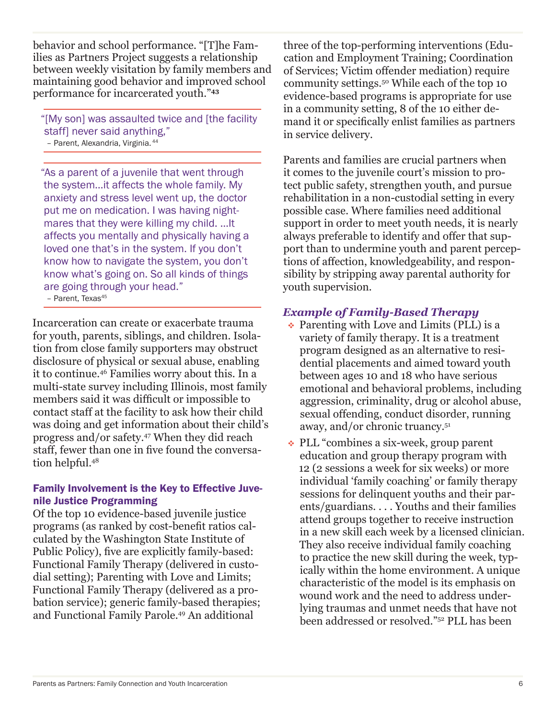behavior and school performance. "[T]he Families as Partners Project suggests a relationship between weekly visitation by family members and maintaining good behavior and improved school performance for incarcerated youth."**<sup>43</sup>**

"[My son] was assaulted twice and [the facility staff] never said anything," - Parent, Alexandria, Virginia.<sup>4</sup>

"As a parent of a juvenile that went through the system…it affects the whole family. My anxiety and stress level went up, the doctor put me on medication. I was having nightmares that they were killing my child. …It affects you mentally and physically having a loved one that's in the system. If you don't know how to navigate the system, you don't know what's going on. So all kinds of things are going through your head." - Parent, Texas<sup>45</sup>

Incarceration can create or exacerbate trauma for youth, parents, siblings, and children. Isolation from close family supporters may obstruct disclosure of physical or sexual abuse, enabling it to continue.46 Families worry about this. In a multi-state survey including Illinois, most family members said it was difficult or impossible to contact staff at the facility to ask how their child was doing and get information about their child's progress and/or safety.47 When they did reach staff, fewer than one in five found the conversation helpful.48

### Family Involvement is the Key to Effective Juvenile Justice Programming

Of the top 10 evidence-based juvenile justice programs (as ranked by cost-benefit ratios calculated by the Washington State Institute of Public Policy), five are explicitly family-based: Functional Family Therapy (delivered in custodial setting); Parenting with Love and Limits; Functional Family Therapy (delivered as a probation service); generic family-based therapies; and Functional Family Parole.49 An additional

three of the top-performing interventions (Education and Employment Training; Coordination of Services; Victim offender mediation) require community settings.50 While each of the top 10 evidence-based programs is appropriate for use in a community setting, 8 of the 10 either demand it or specifically enlist families as partners in service delivery.

Parents and families are crucial partners when it comes to the juvenile court's mission to protect public safety, strengthen youth, and pursue rehabilitation in a non-custodial setting in every possible case. Where families need additional support in order to meet youth needs, it is nearly always preferable to identify and offer that support than to undermine youth and parent perceptions of affection, knowledgeability, and responsibility by stripping away parental authority for youth supervision.

## *Example of Family-Based Therapy*

- $\cdot$  Parenting with Love and Limits (PLL) is a variety of family therapy. It is a treatment program designed as an alternative to residential placements and aimed toward youth between ages 10 and 18 who have serious emotional and behavioral problems, including aggression, criminality, drug or alcohol abuse, sexual offending, conduct disorder, running away, and/or chronic truancy.51
- PLL "combines a six-week, group parent education and group therapy program with 12 (2 sessions a week for six weeks) or more individual 'family coaching' or family therapy sessions for delinquent youths and their parents/guardians. . . . Youths and their families attend groups together to receive instruction in a new skill each week by a licensed clinician. They also receive individual family coaching to practice the new skill during the week, typically within the home environment. A unique characteristic of the model is its emphasis on wound work and the need to address underlying traumas and unmet needs that have not been addressed or resolved."52 PLL has been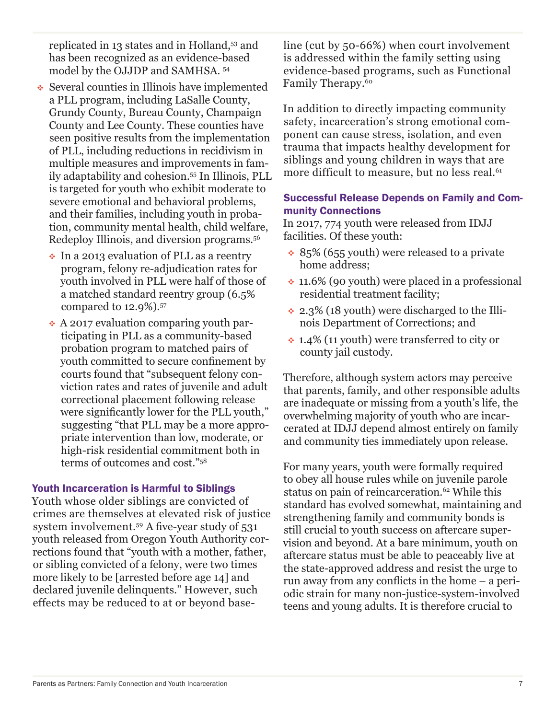replicated in 13 states and in Holland,53 and has been recognized as an evidence-based model by the OJJDP and SAMHSA. 54

- Several counties in Illinois have implemented a PLL program, including LaSalle County, Grundy County, Bureau County, Champaign County and Lee County. These counties have seen positive results from the implementation of PLL, including reductions in recidivism in multiple measures and improvements in family adaptability and cohesion.55 In Illinois, PLL is targeted for youth who exhibit moderate to severe emotional and behavioral problems, and their families, including youth in probation, community mental health, child welfare, Redeploy Illinois, and diversion programs.56
	- $\cdot$  In a 2013 evaluation of PLL as a reentry program, felony re-adjudication rates for youth involved in PLL were half of those of a matched standard reentry group (6.5% compared to 12.9%).57
	- A 2017 evaluation comparing youth participating in PLL as a community-based probation program to matched pairs of youth committed to secure confinement by courts found that "subsequent felony conviction rates and rates of juvenile and adult correctional placement following release were significantly lower for the PLL youth," suggesting "that PLL may be a more appropriate intervention than low, moderate, or high-risk residential commitment both in terms of outcomes and cost."58

### Youth Incarceration is Harmful to Siblings

Youth whose older siblings are convicted of crimes are themselves at elevated risk of justice system involvement.59 A five-year study of 531 youth released from Oregon Youth Authority corrections found that "youth with a mother, father, or sibling convicted of a felony, were two times more likely to be [arrested before age 14] and declared juvenile delinquents." However, such effects may be reduced to at or beyond baseline (cut by 50-66%) when court involvement is addressed within the family setting using evidence-based programs, such as Functional Family Therapy.<sup>60</sup>

In addition to directly impacting community safety, incarceration's strong emotional component can cause stress, isolation, and even trauma that impacts healthy development for siblings and young children in ways that are more difficult to measure, but no less real.<sup>61</sup>

## Successful Release Depends on Family and Community Connections

In 2017, 774 youth were released from IDJJ facilities. Of these youth:

- $\cdot$  85% (655 youth) were released to a private home address;
- $\cdot$  11.6% (90 youth) were placed in a professional residential treatment facility;
- $\div$  2.3% (18 youth) were discharged to the Illinois Department of Corrections; and
- 1.4% (11 youth) were transferred to city or county jail custody.

Therefore, although system actors may perceive that parents, family, and other responsible adults are inadequate or missing from a youth's life, the overwhelming majority of youth who are incarcerated at IDJJ depend almost entirely on family and community ties immediately upon release.

For many years, youth were formally required to obey all house rules while on juvenile parole status on pain of reincarceration.<sup>62</sup> While this standard has evolved somewhat, maintaining and strengthening family and community bonds is still crucial to youth success on aftercare supervision and beyond. At a bare minimum, youth on aftercare status must be able to peaceably live at the state-approved address and resist the urge to run away from any conflicts in the home – a periodic strain for many non-justice-system-involved teens and young adults. It is therefore crucial to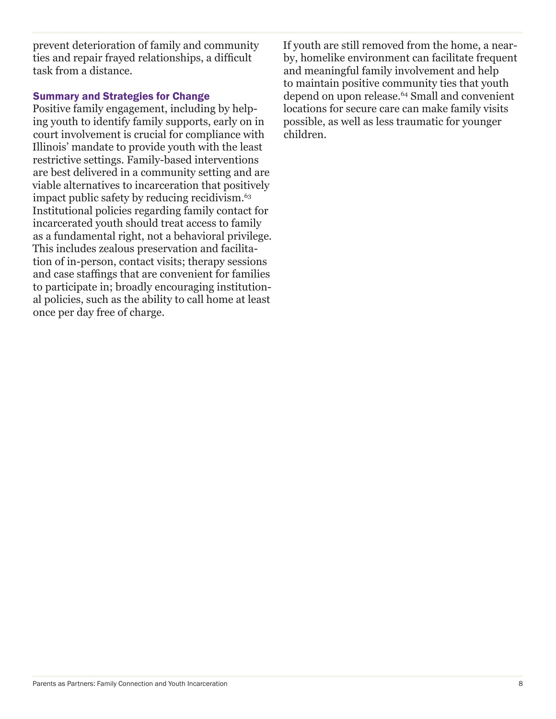prevent deterioration of family and community ties and repair frayed relationships, a difficult task from a distance.

### Summary and Strategies for Change

Positive family engagement, including by helping youth to identify family supports, early on in court involvement is crucial for compliance with Illinois' mandate to provide youth with the least restrictive settings. Family-based interventions are best delivered in a community setting and are viable alternatives to incarceration that positively impact public safety by reducing recidivism.<sup>63</sup> Institutional policies regarding family contact for incarcerated youth should treat access to family as a fundamental right, not a behavioral privilege. This includes zealous preservation and facilitation of in-person, contact visits; therapy sessions and case staffings that are convenient for families to participate in; broadly encouraging institutional policies, such as the ability to call home at least once per day free of charge.

If youth are still removed from the home, a nearby, homelike environment can facilitate frequent and meaningful family involvement and help to maintain positive community ties that youth depend on upon release.<sup>64</sup> Small and convenient locations for secure care can make family visits possible, as well as less traumatic for younger children.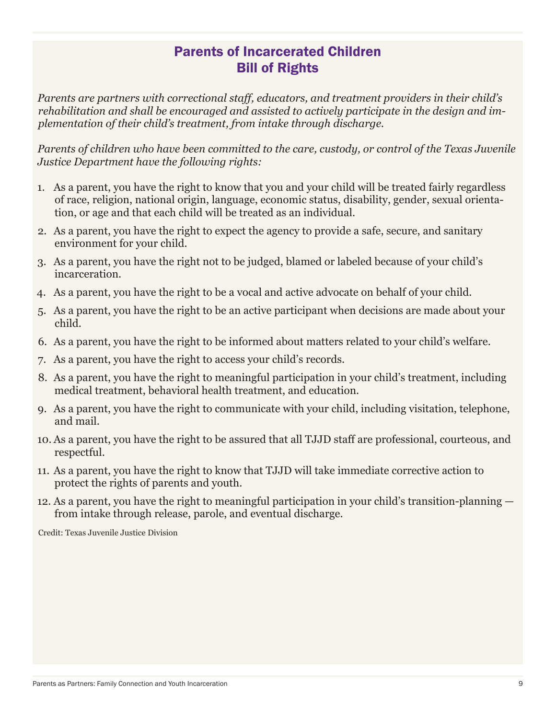# Parents of Incarcerated Children Bill of Rights

*Parents are partners with correctional staff, educators, and treatment providers in their child's rehabilitation and shall be encouraged and assisted to actively participate in the design and implementation of their child's treatment, from intake through discharge.*

*Parents of children who have been committed to the care, custody, or control of the Texas Juvenile Justice Department have the following rights:*

- 1. As a parent, you have the right to know that you and your child will be treated fairly regardless of race, religion, national origin, language, economic status, disability, gender, sexual orientation, or age and that each child will be treated as an individual.
- 2. As a parent, you have the right to expect the agency to provide a safe, secure, and sanitary environment for your child.
- 3. As a parent, you have the right not to be judged, blamed or labeled because of your child's incarceration.
- 4. As a parent, you have the right to be a vocal and active advocate on behalf of your child.
- 5. As a parent, you have the right to be an active participant when decisions are made about your child.
- 6. As a parent, you have the right to be informed about matters related to your child's welfare.
- 7. As a parent, you have the right to access your child's records.
- 8. As a parent, you have the right to meaningful participation in your child's treatment, including medical treatment, behavioral health treatment, and education.
- 9. As a parent, you have the right to communicate with your child, including visitation, telephone, and mail.
- 10. As a parent, you have the right to be assured that all TJJD staff are professional, courteous, and respectful.
- 11. As a parent, you have the right to know that TJJD will take immediate corrective action to protect the rights of parents and youth.
- 12. As a parent, you have the right to meaningful participation in your child's transition-planning from intake through release, parole, and eventual discharge.

Credit: Texas Juvenile Justice Division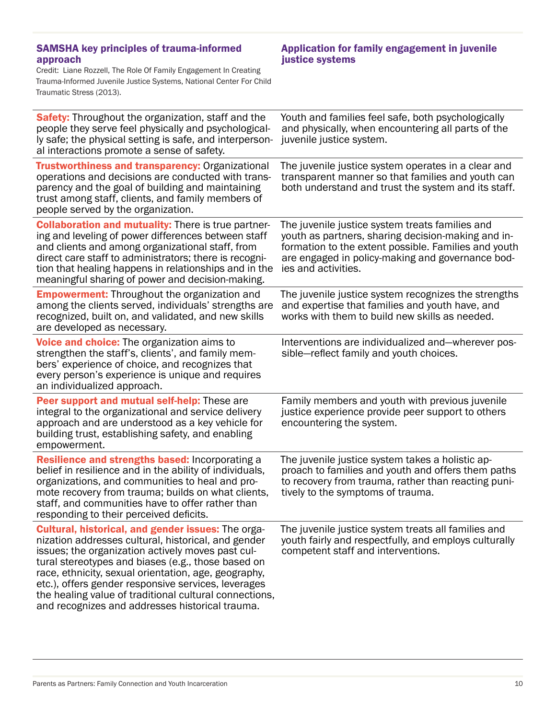### SAMSHA key principles of trauma-informed approach

Credit: Liane Rozzell, The Role Of Family Engagement In Creating Trauma-Informed Juvenile Justice Systems, National Center For Child Traumatic Stress (2013).

### Application for family engagement in juvenile justice systems

| <b>Safety:</b> Throughout the organization, staff and the<br>people they serve feel physically and psychological-<br>ly safe; the physical setting is safe, and interperson-<br>al interactions promote a sense of safety.                                                                                                                                                                                                                              | Youth and families feel safe, both psychologically<br>and physically, when encountering all parts of the<br>juvenile justice system.                                                                                                     |
|---------------------------------------------------------------------------------------------------------------------------------------------------------------------------------------------------------------------------------------------------------------------------------------------------------------------------------------------------------------------------------------------------------------------------------------------------------|------------------------------------------------------------------------------------------------------------------------------------------------------------------------------------------------------------------------------------------|
| <b>Trustworthiness and transparency: Organizational</b><br>operations and decisions are conducted with trans-<br>parency and the goal of building and maintaining<br>trust among staff, clients, and family members of<br>people served by the organization.                                                                                                                                                                                            | The juvenile justice system operates in a clear and<br>transparent manner so that families and youth can<br>both understand and trust the system and its staff.                                                                          |
| <b>Collaboration and mutuality: There is true partner-</b><br>ing and leveling of power differences between staff<br>and clients and among organizational staff, from<br>direct care staff to administrators; there is recogni-<br>tion that healing happens in relationships and in the<br>meaningful sharing of power and decision-making.                                                                                                            | The juvenile justice system treats families and<br>youth as partners, sharing decision-making and in-<br>formation to the extent possible. Families and youth<br>are engaged in policy-making and governance bod-<br>ies and activities. |
| <b>Empowerment:</b> Throughout the organization and<br>among the clients served, individuals' strengths are<br>recognized, built on, and validated, and new skills<br>are developed as necessary.                                                                                                                                                                                                                                                       | The juvenile justice system recognizes the strengths<br>and expertise that families and youth have, and<br>works with them to build new skills as needed.                                                                                |
| Voice and choice: The organization aims to<br>strengthen the staff's, clients', and family mem-<br>bers' experience of choice, and recognizes that<br>every person's experience is unique and requires<br>an individualized approach.                                                                                                                                                                                                                   | Interventions are individualized and—wherever pos-<br>sible-reflect family and youth choices.                                                                                                                                            |
| Peer support and mutual self-help: These are<br>integral to the organizational and service delivery<br>approach and are understood as a key vehicle for<br>building trust, establishing safety, and enabling<br>empowerment.                                                                                                                                                                                                                            | Family members and youth with previous juvenile<br>justice experience provide peer support to others<br>encountering the system.                                                                                                         |
| Resilience and strengths based: Incorporating a<br>belief in resilience and in the ability of individuals,<br>organizations, and communities to heal and pro-<br>mote recovery from trauma; builds on what clients,<br>staff, and communities have to offer rather than<br>responding to their perceived deficits                                                                                                                                       | The juvenile justice system takes a holistic ap-<br>proach to families and youth and offers them paths<br>to recovery from trauma, rather than reacting puni-<br>tively to the symptoms of trauma.                                       |
| <b>Cultural, historical, and gender issues: The orga-</b><br>nization addresses cultural, historical, and gender<br>issues; the organization actively moves past cul-<br>tural stereotypes and biases (e.g., those based on<br>race, ethnicity, sexual orientation, age, geography,<br>etc.), offers gender responsive services, leverages<br>the healing value of traditional cultural connections,<br>and recognizes and addresses historical trauma. | The juvenile justice system treats all families and<br>youth fairly and respectfully, and employs culturally<br>competent staff and interventions.                                                                                       |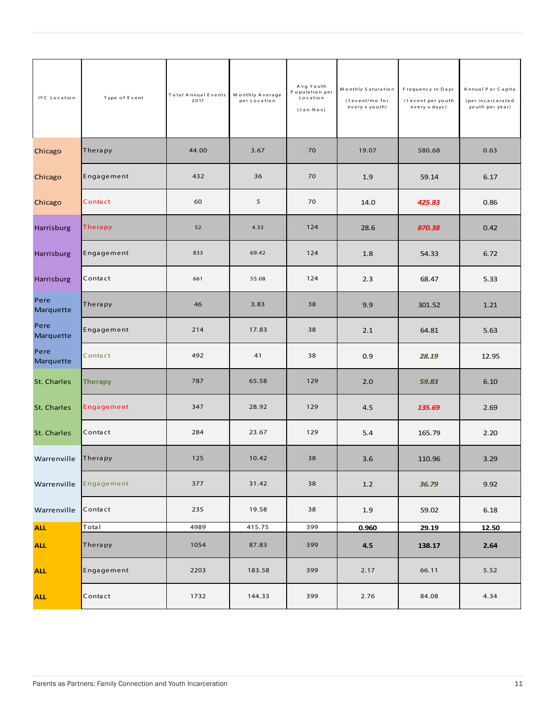| IYC Location      | Type of Event | <b>Total Annual Events</b><br>2017 | Monthly Average<br>per Location | Avg Youth<br>Population per<br>Location<br>$(Jan-Nov)$ | Monthly Saturation<br>(1 event/mo for<br>every x youth) | Frequency in Days<br>(1 event per youth<br>every x days) | Annual Per Capita<br>(per incarcerated<br>youth per year) |
|-------------------|---------------|------------------------------------|---------------------------------|--------------------------------------------------------|---------------------------------------------------------|----------------------------------------------------------|-----------------------------------------------------------|
| Chicago           | Therapy       | 44.00                              | 3.67                            | 70                                                     | 19.07                                                   | 580.68                                                   | 0.63                                                      |
| Chicago           | Engagement    | 432                                | 36                              | 70                                                     | 1.9                                                     | 59.14                                                    | 6.17                                                      |
| Chicago           | Contact       | 60                                 | 5                               | 70                                                     | 14.0                                                    | 425.83                                                   | 0.86                                                      |
| Harrisburg        | Therapy       | 52                                 | 4.33                            | 124                                                    | 28.6                                                    | 870.38                                                   | 0.42                                                      |
| Harrisburg        | Engagement    | 833                                | 69.42                           | 124                                                    | 1.8                                                     | 54.33                                                    | 6.72                                                      |
| Harrisburg        | Contact       | 661                                | 55.08                           | 124                                                    | 2.3                                                     | 68.47                                                    | 5.33                                                      |
| Pere<br>Marquette | Therapy       | 46                                 | 3.83                            | 38                                                     | 9.9                                                     | 301.52                                                   | 1.21                                                      |
| Pere<br>Marquette | Engagement    | 214                                | 17.83                           | 38                                                     | 2.1                                                     | 64.81                                                    | 5.63                                                      |
| Pere<br>Marquette | Contact       | 492                                | 41                              | 38                                                     | 0.9                                                     | 28.19                                                    | 12.95                                                     |
| St. Charles       | Therapy       | 787                                | 65.58                           | 129                                                    | 2.0                                                     | 59.83                                                    | 6.10                                                      |
| St. Charles       | Engagement    | 347                                | 28.92                           | 129                                                    | 4.5                                                     | 135.69                                                   | 2.69                                                      |
| St. Charles       | Contact       | 284                                | 23.67                           | 129                                                    | 5.4                                                     | 165.79                                                   | 2.20                                                      |
| Warrenville       | Therapy       | 125                                | 10.42                           | 38                                                     | 3.6                                                     | 110.96                                                   | 3.29                                                      |
| Warrenville       | Engagement    | 377                                | 31.42                           | 38                                                     | $1.2\,$                                                 | 36.79                                                    | 9.92                                                      |
| Warrenville       | Contact       | 235                                | 19.58                           | 38                                                     | 1.9                                                     | 59.02                                                    | 6.18                                                      |
| <b>ALL</b>        | Total         | 4989                               | 415.75                          | 399                                                    | 0.960                                                   | 29.19                                                    | 12.50                                                     |
| <b>ALL</b>        | Therapy       | 1054                               | 87.83                           | 399                                                    | 4.5                                                     | 138.17                                                   | 2.64                                                      |
| <b>ALL</b>        | Engagement    | 2203                               | 183.58                          | 399                                                    | 2.17                                                    | 66.11                                                    | 5.52                                                      |
| <b>ALL</b>        | Contact       | 1732                               | 144.33                          | 399                                                    | 2.76                                                    | 84.08                                                    | 4.34                                                      |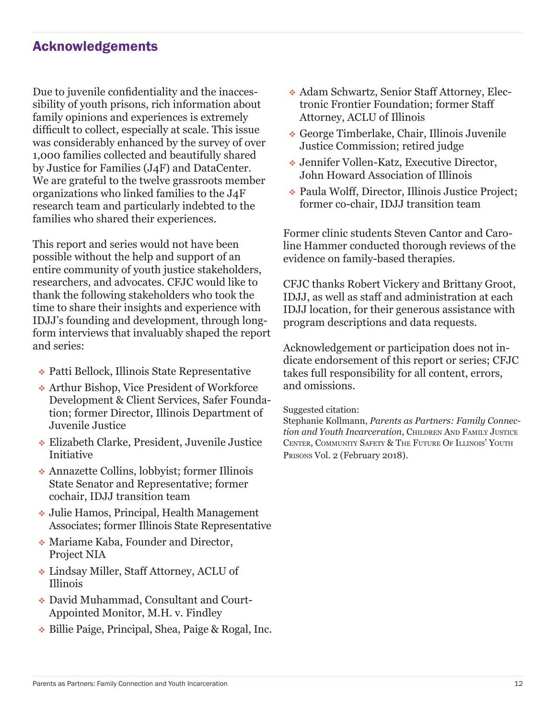# Acknowledgements

Due to juvenile confidentiality and the inaccessibility of youth prisons, rich information about family opinions and experiences is extremely difficult to collect, especially at scale. This issue was considerably enhanced by the survey of over 1,000 families collected and beautifully shared by Justice for Families (J4F) and DataCenter. We are grateful to the twelve grassroots member organizations who linked families to the J4F research team and particularly indebted to the families who shared their experiences.

This report and series would not have been possible without the help and support of an entire community of youth justice stakeholders, researchers, and advocates. CFJC would like to thank the following stakeholders who took the time to share their insights and experience with IDJJ's founding and development, through longform interviews that invaluably shaped the report and series:

- Patti Bellock, Illinois State Representative
- Arthur Bishop, Vice President of Workforce Development & Client Services, Safer Foundation; former Director, Illinois Department of Juvenile Justice
- Elizabeth Clarke, President, Juvenile Justice Initiative
- Annazette Collins, lobbyist; former Illinois State Senator and Representative; former cochair, IDJJ transition team
- Julie Hamos, Principal, Health Management Associates; former Illinois State Representative
- Mariame Kaba, Founder and Director, Project NIA
- Lindsay Miller, Staff Attorney, ACLU of Illinois
- David Muhammad, Consultant and Court-Appointed Monitor, M.H. v. Findley
- Billie Paige, Principal, Shea, Paige & Rogal, Inc.
- Adam Schwartz, Senior Staff Attorney, Electronic Frontier Foundation; former Staff Attorney, ACLU of Illinois
- George Timberlake, Chair, Illinois Juvenile Justice Commission; retired judge
- Jennifer Vollen-Katz, Executive Director, John Howard Association of Illinois
- Paula Wolff, Director, Illinois Justice Project; former co-chair, IDJJ transition team

Former clinic students Steven Cantor and Caroline Hammer conducted thorough reviews of the evidence on family-based therapies.

CFJC thanks Robert Vickery and Brittany Groot, IDJJ, as well as staff and administration at each IDJJ location, for their generous assistance with program descriptions and data requests.

Acknowledgement or participation does not indicate endorsement of this report or series; CFJC takes full responsibility for all content, errors, and omissions.

#### Suggested citation:

Stephanie Kollmann, *Parents as Partners: Family Connection and Youth Incarceration*, Children And Family Justice CENTER, COMMUNITY SAFETY & THE FUTURE OF ILLINOIS' YOUTH Prisons Vol. 2 (February 2018).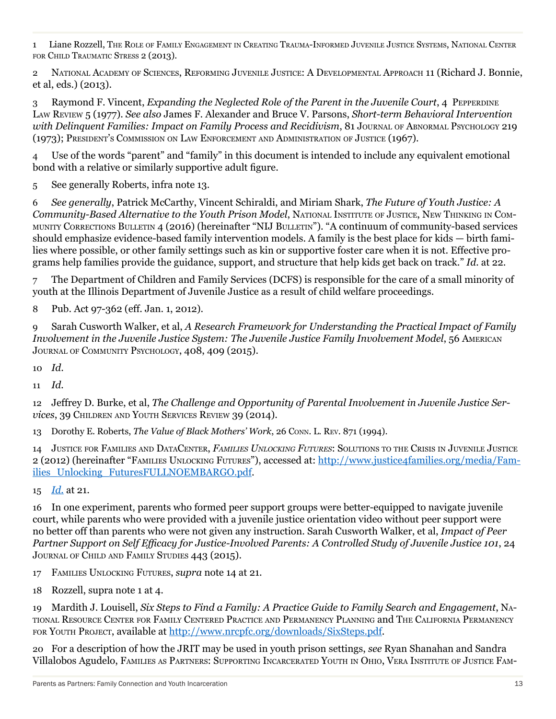1 Liane Rozzell, The Role of Family Engagement in Creating Trauma-Informed Juvenile Justice Systems, National Center FOR CHILD TRAUMATIC STRESS 2 (2013).

2 National Academy of Sciences, Reforming Juvenile Justice: A Developmental Approach 11 (Richard J. Bonnie, et al, eds.) (2013).

3 Raymond F. Vincent, *Expanding the Neglected Role of the Parent in the Juvenile Court*, 4 Pepperdine Law Review 5 (1977). *See also* James F. Alexander and Bruce V. Parsons, *Short-term Behavioral Intervention with Delinquent Families: Impact on Family Process and Recidivism*, 81 Journal of Abnormal Psychology 219 (1973); President's Commission on Law Enforcement and Administration of Justice (1967).

4 Use of the words "parent" and "family" in this document is intended to include any equivalent emotional bond with a relative or similarly supportive adult figure.

5 See generally Roberts, infra note 13.

6 *See generally*, Patrick McCarthy, Vincent Schiraldi, and Miriam Shark, *The Future of Youth Justice: A Community-Based Alternative to the Youth Prison Model*, National Institute of Justice, New Thinking in Community Corrections Bulletin 4 (2016) (hereinafter "NIJ Bulletin"). "A continuum of community-based services should emphasize evidence-based family intervention models. A family is the best place for kids — birth families where possible, or other family settings such as kin or supportive foster care when it is not. Effective programs help families provide the guidance, support, and structure that help kids get back on track." *Id.* at 22.

7 The Department of Children and Family Services (DCFS) is responsible for the care of a small minority of youth at the Illinois Department of Juvenile Justice as a result of child welfare proceedings.

8 Pub. Act 97-362 (eff. Jan. 1, 2012).

9 Sarah Cusworth Walker, et al, *A Research Framework for Understanding the Practical Impact of Family Involvement in the Juvenile Justice System: The Juvenile Justice Family Involvement Model*, 56 American Journal of Community Psychology, 408, 409 (2015).

10 *Id*.

11 *Id.*

12 Jeffrey D. Burke, et al, *The Challenge and Opportunity of Parental Involvement in Juvenile Justice Services*, 39 Children and Youth Services Review 39 (2014).

13 Dorothy E. Roberts, *The Value of Black Mothers' Work*, 26 Conn. L. Rev. 871 (1994).

14 Justice for Families and DataCenter, *Families Unlocking Futures*: Solutions to the Crisis in Juvenile Justice 2 (2012) (hereinafter "Families Unlocking Futures"), accessed at: http://www.justice4families.org/media/Families\_Unlocking\_FuturesFULLNOEMBARGO.pdf.

15 *Id.* at 21.

16 In one experiment, parents who formed peer support groups were better-equipped to navigate juvenile court, while parents who were provided with a juvenile justice orientation video without peer support were no better off than parents who were not given any instruction. Sarah Cusworth Walker, et al, *Impact of Peer Partner Support on Self Efficacy for Justice-Involved Parents: A Controlled Study of Juvenile Justice 101*, 24 Journal of Child and Family Studies 443 (2015).

17 Families Unlocking Futures, *supra* note 14 at 21.

18 Rozzell, supra note 1 at 4.

19 Mardith J. Louisell, *Six Steps to Find a Family: A Practice Guide to Family Search and Engagement*, National Resource Center for Family Centered Practice and Permanency Planning and The California Permanency for Youth Project, available at http://www.nrcpfc.org/downloads/SixSteps.pdf.

20 For a description of how the JRIT may be used in youth prison settings, *see* Ryan Shanahan and Sandra Villalobos Agudelo, Families as Partners: Supporting Incarcerated Youth in Ohio, Vera Institute of Justice Fam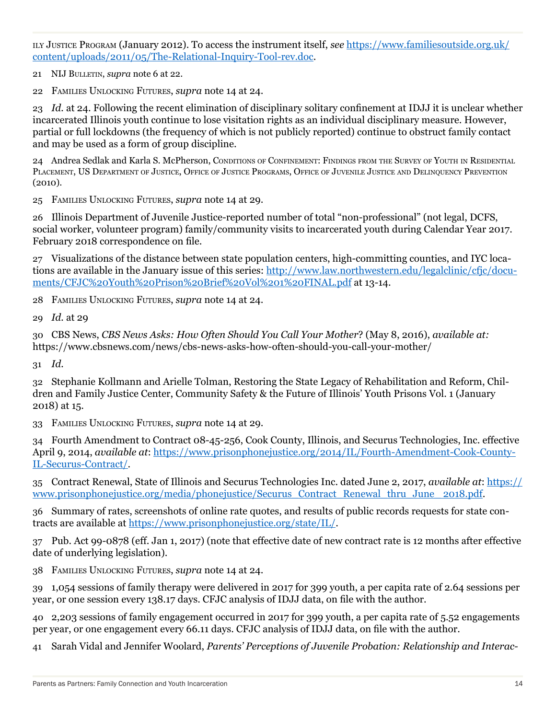ily Justice Program (January 2012). To access the instrument itself, *see* https://www.familiesoutside.org.uk/ content/uploads/2011/05/The-Relational-Inquiry-Tool-rev.doc.

21 NIJ Bulletin, *supra* note 6 at 22.

22 Families Unlocking Futures, *supra* note 14 at 24.

23 *Id.* at 24. Following the recent elimination of disciplinary solitary confinement at IDJJ it is unclear whether incarcerated Illinois youth continue to lose visitation rights as an individual disciplinary measure. However, partial or full lockdowns (the frequency of which is not publicly reported) continue to obstruct family contact and may be used as a form of group discipline.

24 Andrea Sedlak and Karla S. McPherson, Conditions of Confinement: Findings from the Survey of Youth in Residential PLACEMENT, US DEPARTMENT OF JUSTICE, OFFICE OF JUSTICE PROGRAMS, OFFICE OF JUVENILE JUSTICE AND DELINQUENCY PREVENTION (2010).

25 Families Unlocking Futures, *supra* note 14 at 29.

26 Illinois Department of Juvenile Justice-reported number of total "non-professional" (not legal, DCFS, social worker, volunteer program) family/community visits to incarcerated youth during Calendar Year 2017. February 2018 correspondence on file.

27 Visualizations of the distance between state population centers, high-committing counties, and IYC locations are available in the January issue of this series: http://www.law.northwestern.edu/legalclinic/cfjc/documents/CFJC%20Youth%20Prison%20Brief%20Vol%201%20FINAL.pdf at 13-14.

28 Families Unlocking Futures, *supra* note 14 at 24.

29 *Id.* at 29

30 CBS News, *CBS News Asks: How Often Should You Call Your Mother*? (May 8, 2016), *available at:*  https://www.cbsnews.com/news/cbs-news-asks-how-often-should-you-call-your-mother/

31 *Id.*

32 Stephanie Kollmann and Arielle Tolman, Restoring the State Legacy of Rehabilitation and Reform, Children and Family Justice Center, Community Safety & the Future of Illinois' Youth Prisons Vol. 1 (January 2018) at 15.

33 Families Unlocking Futures, *supra* note 14 at 29.

34 Fourth Amendment to Contract 08-45-256, Cook County, Illinois, and Securus Technologies, Inc. effective April 9, 2014, *available at*: https://www.prisonphonejustice.org/2014/IL/Fourth-Amendment-Cook-County-IL-Securus-Contract/.

35 Contract Renewal, State of Illinois and Securus Technologies Inc. dated June 2, 2017, *available at*: https:// www.prisonphonejustice.org/media/phonejustice/Securus\_Contract\_Renewal\_thru\_June\_ 2018.pdf.

36 Summary of rates, screenshots of online rate quotes, and results of public records requests for state contracts are available at https://www.prisonphonejustice.org/state/IL/.

37 Pub. Act 99-0878 (eff. Jan 1, 2017) (note that effective date of new contract rate is 12 months after effective date of underlying legislation).

38 Families Unlocking Futures, *supra* note 14 at 24.

39 1,054 sessions of family therapy were delivered in 2017 for 399 youth, a per capita rate of 2.64 sessions per year, or one session every 138.17 days. CFJC analysis of IDJJ data, on file with the author.

40 2,203 sessions of family engagement occurred in 2017 for 399 youth, a per capita rate of 5.52 engagements per year, or one engagement every 66.11 days. CFJC analysis of IDJJ data, on file with the author.

41 Sarah Vidal and Jennifer Woolard, *Parents' Perceptions of Juvenile Probation: Relationship and Interac-*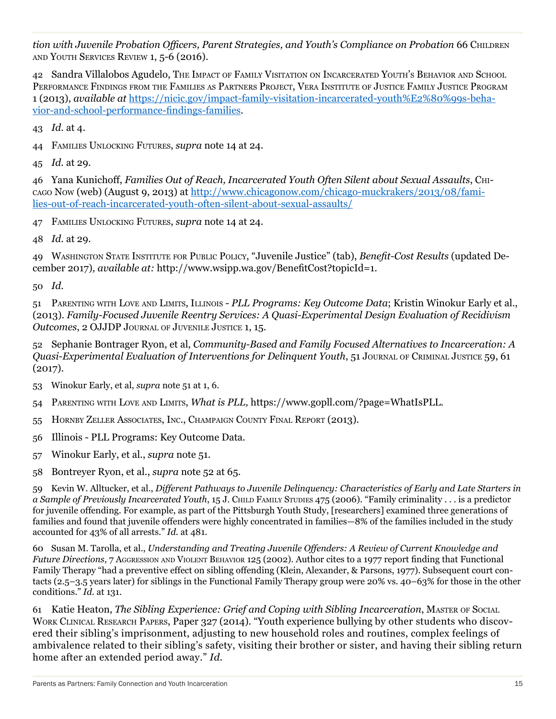tion with Juvenile Probation Officers, Parent Strategies, and Youth's Compliance on Probation 66 CHILDREN and Youth Services Review 1, 5-6 (2016).

42 Sandra Villalobos Agudelo, The Impact of Family Visitation on Incarcerated Youth's Behavior and School Performance Findings from the Families as Partners Project, Vera Institute of Justice Family Justice Program 1 (2013), *available at* https://nicic.gov/impact-family-visitation-incarcerated-youth%E2%80%99s-behavior-and-school-performance-findings-families.

43 *Id.* at 4.

44 Families Unlocking Futures, *supra* note 14 at 24.

45 *Id.* at 29.

46 Yana Kunichoff, *Families Out of Reach, Incarcerated Youth Often Silent about Sexual Assaults*, Chicago Now (web) (August 9, 2013) at http://www.chicagonow.com/chicago-muckrakers/2013/08/families-out-of-reach-incarcerated-youth-often-silent-about-sexual-assaults/

47 Families Unlocking Futures, *supra* note 14 at 24.

48 *Id.* at 29.

49 Washington State Institute for Public Policy, "Juvenile Justice" (tab), *Benefit-Cost Results* (updated December 2017)*, available at:* http://www.wsipp.wa.gov/BenefitCost?topicId=1.

50 *Id.*

51 Parenting with Love and Limits, Illinois - *PLL Programs: Key Outcome Data*; Kristin Winokur Early et al., (2013). *Family-Focused Juvenile Reentry Services: A Quasi-Experimental Design Evaluation of Recidivism Outcomes*, 2 OJJDP Journal of Juvenile Justice 1, 15.

52 Sephanie Bontrager Ryon, et al, *Community-Based and Family Focused Alternatives to Incarceration: A Quasi-Experimental Evaluation of Interventions for Delinquent Youth*, 51 Journal of Criminal Justice 59, 61 (2017).

53 Winokur Early, et al, *supra* note 51 at 1, 6.

- 54 Parenting with Love and Limits, *What is PLL,* https://www.gopll.com/?page=WhatIsPLL.
- 55 Hornby Zeller Associates, Inc., Champaign County Final Report (2013).
- 56 Illinois PLL Programs: Key Outcome Data.
- 57 Winokur Early, et al., *supra* note 51.
- 58 Bontreyer Ryon, et al., *supra* note 52 at 65*.*

59 Kevin W. Alltucker, et al., *Different Pathways to Juvenile Delinquency: Characteristics of Early and Late Starters in a Sample of Previously Incarcerated Youth*, 15 J. CHILD FAMILY STUDIES 475 (2006). "Family criminality . . . is a predictor for juvenile offending. For example, as part of the Pittsburgh Youth Study, [researchers] examined three generations of families and found that juvenile offenders were highly concentrated in families—8% of the families included in the study accounted for 43% of all arrests." *Id.* at 481.

60 Susan M. Tarolla, et al., *Understanding and Treating Juvenile Offenders: A Review of Current Knowledge and Future Directions*, 7 Aggression and VIOLENT BEHAVIOR 125 (2002). Author cites to a 1977 report finding that Functional Family Therapy "had a preventive effect on sibling offending (Klein, Alexander, & Parsons, 1977). Subsequent court contacts (2.5–3.5 years later) for siblings in the Functional Family Therapy group were 20% vs. 40–63% for those in the other conditions." *Id.* at 131.

61 Katie Heaton, *The Sibling Experience: Grief and Coping with Sibling Incarceration*, Master of Social Work Clinical Research Papers, Paper 327 (2014). "Youth experience bullying by other students who discovered their sibling's imprisonment, adjusting to new household roles and routines, complex feelings of ambivalence related to their sibling's safety, visiting their brother or sister, and having their sibling return home after an extended period away." *Id.*